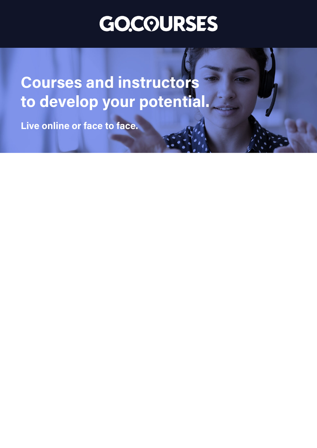## **GO.COURSES**

**Coursesand instructors to develop your potential.**

**Live online or face to face.**